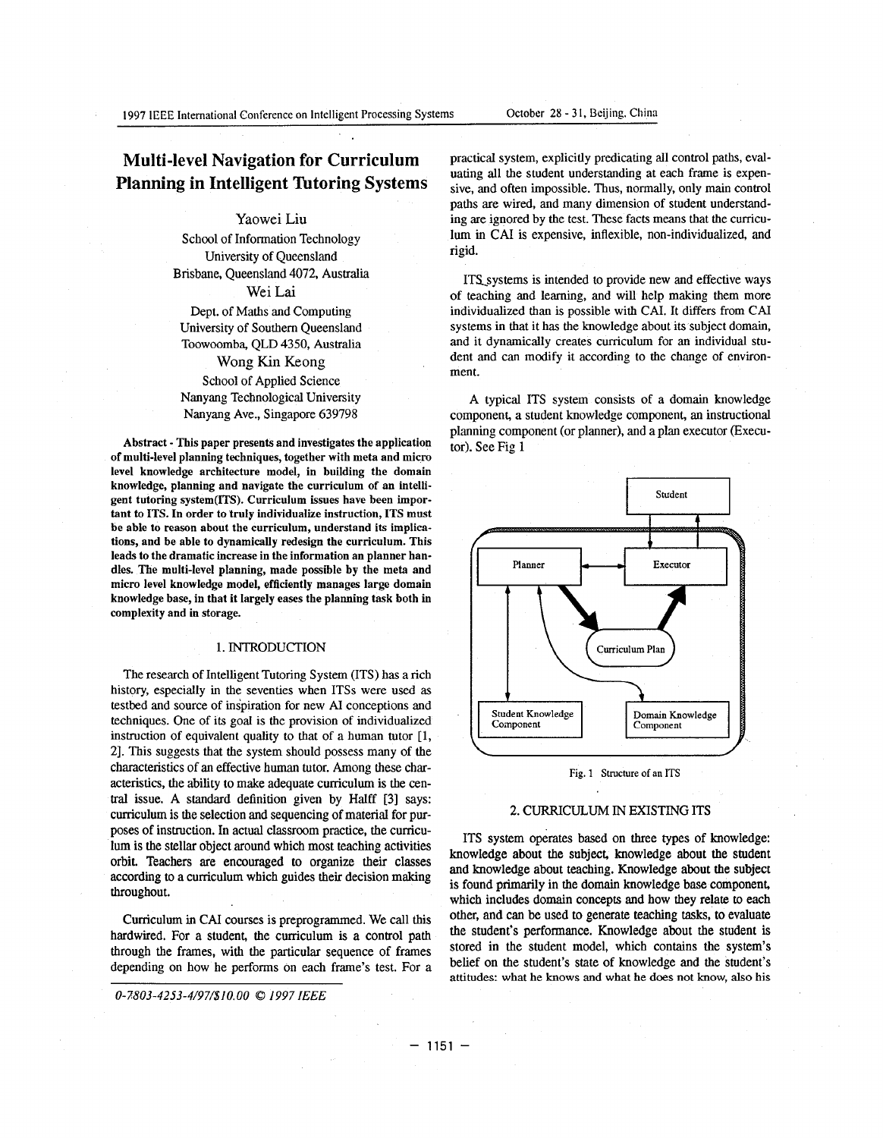# **Multi-level Navigation for Curriculum Planning in Intelligent Tutoring Systems**

# Yaowei Liu

School of Information Technology University of Queensland Brisbane, Queensland 4072, Australia Wei Lai Dept. of Maths and Computing University of Southern Queensland Toowoomba, QLD 4350, Australia Wong Kin Keong School of Applied Science Nanyang Technological University Nanyang Ave., Singapore 639798

**Abstract** - **This paper presents and investigates the application of multi-level planning techniques, together with meta and micro level knowledge architecture model, in building the domain knowledge, planning and navigate the curriculum of an intelligent tutoring system(ITS). Curriculum issues have been importaut to ITS. In order to truly individualize instruction, ITS must be able to reason about the curriculum, understand its impfications, and be able to dynamically redesign the curriculum. This leads to the dramatic increase in the information an planner handles. The multi-level planning, made possible by the meta and micro level knowledge model, efficiently manages large domain knowledge base, in that it largely eases the planning task both in complexity and in storage.** 

# **1.** INTRODUCTION

The research of Intelligent Tutoring System (ITS) has arich history, especially in the seventies when ITSs were used **as**  testbed and source of inspiration for new AI conceptions and techniques. One of its goal is the provision of individualized instruction of equivalent quality to that of a human tutor [1, 21. This suggests that the system should possess many of the characteristics of an effective human tutor. Among these characteristics, the ability to make adequate curriculum is the central issue. **A** standard definition given by Halff **[3]** says: curriculum is the selection and sequencing of material for purposes of instruction. In actual classroom practice, the curriculum is the stellar object around which most teaching activities orbit. Teachers are encouraged to organize their classes according to a curriculum which guides their decision making throughout.

Curriculum in CAI courses is preprogrammed. We call this hardwired. For a student, the curriculum is a control path through the frames, with the particular sequence of frames depending on how he performs on each frame's test. For a practical system, explicitly predicating all control paths, evaluating all the student understanding at each frame is expensive, and often impossible. Thus, normally, only main control paths are wired, and many dimension of student understanding are ignored by the test. These facts means that the curriculum in *CAI* is expensive, inflexible, non-individualized, and rigid.

ITS systems is intended to provide new and effective ways of teaching and learning, and will help making them more individualized than is possible with CAI. It differs from CAI systems in that it has the knowledge about its subject domain, and it dynamically creates curriculum for an individual student and can modify it according to the change of environment.

**A** typical ITS system consists of a domain knowledge component, a student knowledge component, an instructional planning component (or planner), and a plan executor (Executor). See Fig **1** 



**Fig. 1 Structure of an** ITS

### **2.** CURRICULUM IN EXISTING ITS

ITS system operates based on three types of knowledge: knowledge about the subject, knowledge about the student and knowledge about teaching. Knowledge about the subject is found primarily in the domain knowledge base component, which includes domain concepts and how they relate to each other, and can be used to generate teaching tasks, to evaluate the student's performance. Knowledge about the student is stored in the student model, which contains the system's belief on the student's state of knowledge and the student's **attitudes: what he knows and what he does not know,** also **his** 

*O-MO3-4253-4/97/\$10.00 0 I997 IEEE*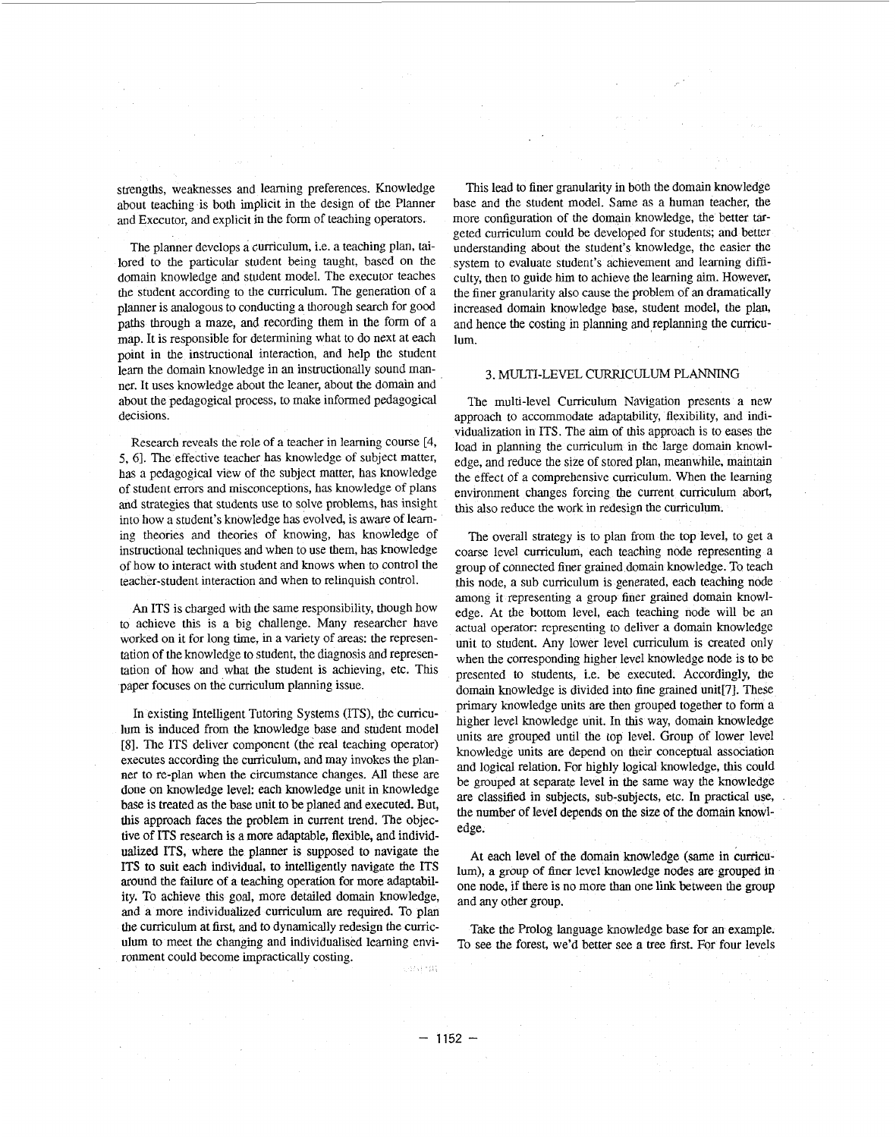strengths, weaknesses and learning preferences. Knowledge about teaching is both implicit in the design of the Planner and Executor, and explicit in the form of teaching operators.

The planner develops a curriculum, i.e. a teaching plan, tailored to the particular student being taught, based on the domain knowledge and student model. The executor teaches the student according to the curriculum. The generation of a planner is analogous to conducting a thorough search for good paths through a maze, and recording them in the form of a map. It is responsible for determining what to do next at each point in the instructional interaction, and help the student learn the domain knowledge in an instructionally sound manner. It uses knowledge about the leaner, about the domain and about the pedagogical process, to make informed pedagogical decisions.

Research reveals the role of a teacher in learning course **[4,**  5, 61. The effective teacher has knowledge of subject matter, has a pedagogical view of the subject matter, has knowledge of student errors and misconceptions, has knowledge of plans and strategies that students use to solve problems, has insight into how a student's knowledge has evolved, is aware of learning theories and theories of knowing, has knowledge of instructional techniques and when to use them, has knowledge of how to interact with student and knows when to control the teacher-student interaction and when to relinquish control.

**An** ITS is charged with the same responsibility, though how to achieve this is a big challenge. Many researcher have worked on it for long time, in a variety of areas: the representation of the knowledge to student, the diagnosis and representation of how and what the student is achieving, etc. This paper focuses on the curriculum planning issue.

In existing Intelligent Tutoring Systems (ITS), the curriculum is induced from the knowledge base and student model [8]. The ITS deliver component (the real teaching operator) executes according the curriculum, and may invokes the planner to re-plan when the circumstance changes. All these are done on knowledge level: each knowledge unit in knowledge base is treated **as** the base unit to be planed and executed. But, this approach faces the problem in current trend. The objective of **ITS** research is a more adaptable, flexible, and individualized **ITS,** where the planner is supposed to navigate the **ITS** to suit each individual, to intelligently navigate the ITS around the failure of a teaching operation for more adaptability. To achieve this goal, more detailed domain knowledge, and a more individualized curriculum are required. To plan the Curriculum at fist, and to dynamically redesign the curriculum to meet the changing and individualised learning environment could become impractically costing.

This lead to finer granularity in both the domain knowledge base and the student model. Same as a human teacher, the more configuration of the domain knowledge, the better targeted curriculum could be developed for students; and better understanding about the student's knowledge, the easier the system to evaluate student's achievement and learning difficulty, then to guide him to achieve the learning aim. However, the finer granularity also cause the problem of an dramatically increased domain knowledge base, student model, the plan, and hence the costing in planning and replanning the curriculum.

#### 3. MULTI-LEVEL CURRICULUM PLANNING

The multi-level Curriculum Navigation presents a new approach to accommodate adaptability, flexibility, and individualization in ITS. The aim of this approach is to eases the load in planning the curriculum in the large domain knowledge, and reduce the size of stored plan, meanwhile, maintain the effect of a comprehensive cumculum. When the learning environment changes forcing the current curriculum abort, this also reduce the work in redesign the curriculum.

The overall strategy is to plan from the top level, to get a coarse level curriculum, each teaching node representing a group of connected finer grained domain knowledge. To teach this node, a sub curriculum is generated, each teaching node among it representing a group finer grained domain knowledge. At the bottom level, each teaching node will be an actual operator: representing to deliver a domain knowledge unit to student. Any lower level curriculum is created only when the corresponding higher level knowledge node is to be presented to students, i.e. be executed. Accordingly, the domain knowledge is divided into fine grained unit[7]. These primary knowledge units are then grouped together to form a higher level knowledge unit. In this way, domain knowledge units are grouped until the top level. Group of lower level knowledge units are depend on their conceptual association and logical relation. For highly logical knowledge, this could be grouped at separate level in the same way the knowledge are classified in subjects, sub-subjects, etc. In practical use, the number of level depends on the size **of** the domain knowledge.

**At** each level of the domain knowledge (same in curriculum), a group of finer level knowledge nodes are grouped in one node, **if** there is no more than one link between the group and any other group.

Take the Prolog language knowledge base for an example. To see the forest, we'd better see a **tree** first. For four levels

5353500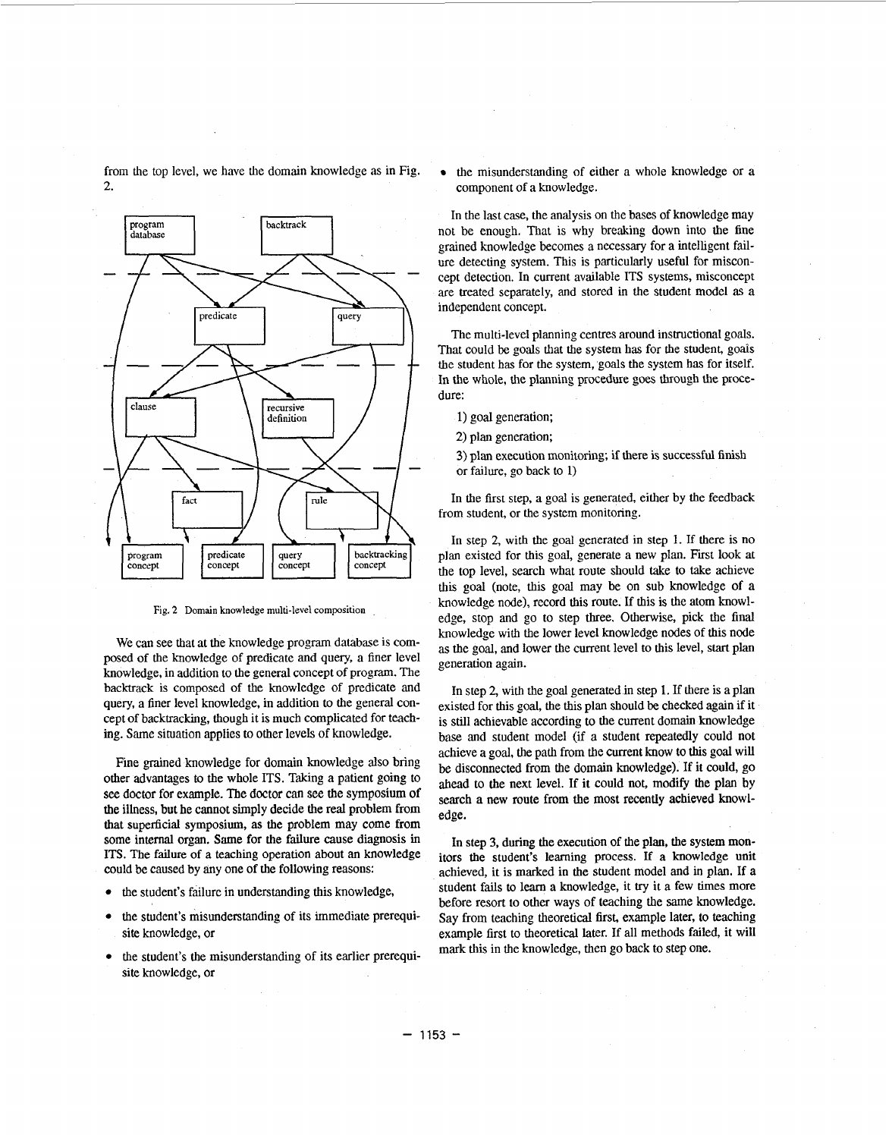

from the top level, we have the domain knowledge as in Fig. *2.* 

Fig. **2 Domain knowledge multi-level composition** 

We can see that at the knowledge program database is composed of the knowledge of predicate and query, a finer level knowledge, in addition to the general concept of program. The backtrack is composed of the knowledge of predicate and query, a finer level knowledge, in addition to the general concept of backtracking, though it is much complicated for teaching. Same situation applies to other levels of knowledge.

Fine grained knowledge for domain knowledge also bring other advantages to the whole ITS. Taking a patient going to see doctor for example. The doctor can see the symposium of the illness, but he cannot simply decide the real problem from that superficial symposium, as the problem may come from some internal organ. Same for the failure cause diagnosis in ITS. The failure of a teaching operation about an knowledge could be caused by any one of the following reasons:

- the student's failure in understanding this knowledge,
- the student's misunderstanding of its immediate prerequisite knowledge, or
- the student's the misunderstanding of its earlier prerequisite knowledge, or

the misunderstanding of either a whole knowledge or a component of a knowledge.

In the last case, the analysis on the bases of knowledge may not be enough. That is why breaking down into the fine grained knowledge becomes a necessary for a intelligent failure detecting system. This is particularly useful for misconcept detection. In current available ITS systems, misconcept are treated separately, and stored in the student model **as** a independent concept.

The multi-level planning centres around instructional goals. That could be goals that the system has for the student, goals the student has for the system, goals the system has for itself. In the whole, the planning procedure goes through the procedure:

- 1) goal generation;
- **2)** plan generation;
- 3) plan execution monitoring; **if** there is successful finish or failure, go back to 1)

In the first step, a goal is generated, either by the feedback from student, or the system monitoring.

In step 2, with the goal generated in step 1. If there is no plan existed for this goal, generate a new plan. First look at the top level, search what route should take to take achieve this goal (note, this goal may be on sub knowledge of a knowledge node), record this route. If this is the atom knowledge, stop and go to step three. Otherwise, pick the final knowledge with the lower level knowledge nodes of this node as the goal, and lower the current level to this level, start **plan**  generation again.

In step *2,* with the goal generated in step 1. If there is a plan existed for this goal, the this plan should be checked again if it is still achievable according to the current domain knowledge base and student model **(if** a student repeatedly could not achieve a goal, the path from the current know to this goal will be disconnected from the domain knowledge). If it could, go ahead to the next level. If it could not, modify the plan **by**  search a new route from the **most** recently achieved knowledge.

In step 3, during the execution of the plan, the system monitors the student's learning process. If a knowledge unit achieved, it is marked in the student model and in plan. **If** a student fails to learn a knowledge, it **try** it a few times more before resort to other ways of teaching the same knowledge. Say from teaching theoretical first, example later, to teaching example first to theoretical later. If all methods failed, it will mark this in the knowledge, then go back to step one.